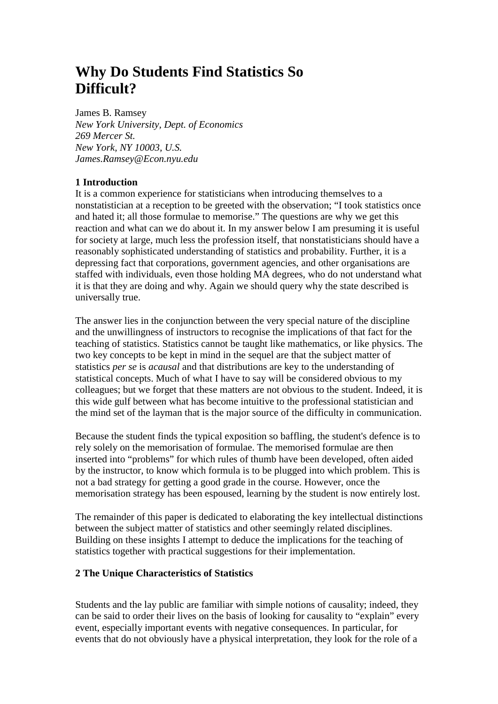# **Why Do Students Find Statistics So Difficult?**

#### James B. Ramsey

*New York University, Dept. of Economics 269 Mercer St. New York, NY 10003, U.S. James.Ramsey@Econ.nyu.edu*

## **1 Introduction**

It is a common experience for statisticians when introducing themselves to a nonstatistician at a reception to be greeted with the observation; "I took statistics once and hated it; all those formulae to memorise." The questions are why we get this reaction and what can we do about it. In my answer below I am presuming it is useful for society at large, much less the profession itself, that nonstatisticians should have a reasonably sophisticated understanding of statistics and probability. Further, it is a depressing fact that corporations, government agencies, and other organisations are staffed with individuals, even those holding MA degrees, who do not understand what it is that they are doing and why. Again we should query why the state described is universally true.

The answer lies in the conjunction between the very special nature of the discipline and the unwillingness of instructors to recognise the implications of that fact for the teaching of statistics. Statistics cannot be taught like mathematics, or like physics. The two key concepts to be kept in mind in the sequel are that the subject matter of statistics *per se* is *acausal* and that distributions are key to the understanding of statistical concepts. Much of what I have to say will be considered obvious to my colleagues; but we forget that these matters are not obvious to the student. Indeed, it is this wide gulf between what has become intuitive to the professional statistician and the mind set of the layman that is the major source of the difficulty in communication.

Because the student finds the typical exposition so baffling, the student's defence is to rely solely on the memorisation of formulae. The memorised formulae are then inserted into "problems" for which rules of thumb have been developed, often aided by the instructor, to know which formula is to be plugged into which problem. This is not a bad strategy for getting a good grade in the course. However, once the memorisation strategy has been espoused, learning by the student is now entirely lost.

The remainder of this paper is dedicated to elaborating the key intellectual distinctions between the subject matter of statistics and other seemingly related disciplines. Building on these insights I attempt to deduce the implications for the teaching of statistics together with practical suggestions for their implementation.

#### **2 The Unique Characteristics of Statistics**

Students and the lay public are familiar with simple notions of causality; indeed, they can be said to order their lives on the basis of looking for causality to "explain" every event, especially important events with negative consequences. In particular, for events that do not obviously have a physical interpretation, they look for the role of a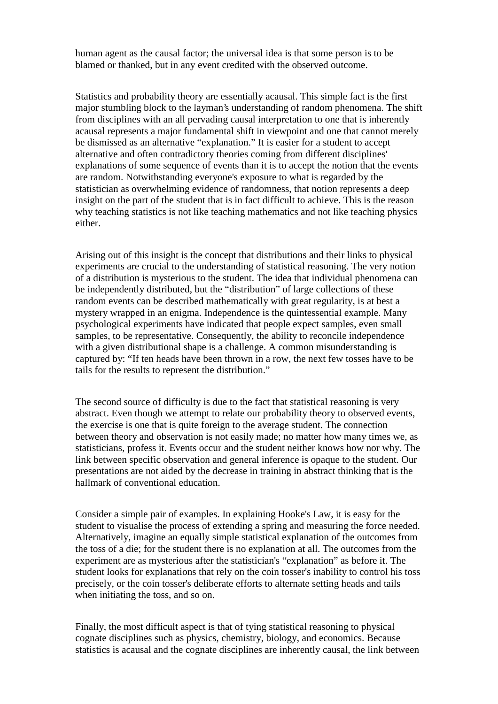human agent as the causal factor; the universal idea is that some person is to be blamed or thanked, but in any event credited with the observed outcome.

Statistics and probability theory are essentially acausal. This simple fact is the first major stumbling block to the layman's understanding of random phenomena. The shift from disciplines with an all pervading causal interpretation to one that is inherently acausal represents a major fundamental shift in viewpoint and one that cannot merely be dismissed as an alternative "explanation." It is easier for a student to accept alternative and often contradictory theories coming from different disciplines' explanations of some sequence of events than it is to accept the notion that the events are random. Notwithstanding everyone's exposure to what is regarded by the statistician as overwhelming evidence of randomness, that notion represents a deep insight on the part of the student that is in fact difficult to achieve. This is the reason why teaching statistics is not like teaching mathematics and not like teaching physics either.

Arising out of this insight is the concept that distributions and their links to physical experiments are crucial to the understanding of statistical reasoning. The very notion of a distribution is mysterious to the student. The idea that individual phenomena can be independently distributed, but the "distribution" of large collections of these random events can be described mathematically with great regularity, is at best a mystery wrapped in an enigma. Independence is the quintessential example. Many psychological experiments have indicated that people expect samples, even small samples, to be representative. Consequently, the ability to reconcile independence with a given distributional shape is a challenge. A common misunderstanding is captured by: "If ten heads have been thrown in a row, the next few tosses have to be tails for the results to represent the distribution."

The second source of difficulty is due to the fact that statistical reasoning is very abstract. Even though we attempt to relate our probability theory to observed events, the exercise is one that is quite foreign to the average student. The connection between theory and observation is not easily made; no matter how many times we, as statisticians, profess it. Events occur and the student neither knows how nor why. The link between specific observation and general inference is opaque to the student. Our presentations are not aided by the decrease in training in abstract thinking that is the hallmark of conventional education.

Consider a simple pair of examples. In explaining Hooke's Law, it is easy for the student to visualise the process of extending a spring and measuring the force needed. Alternatively, imagine an equally simple statistical explanation of the outcomes from the toss of a die; for the student there is no explanation at all. The outcomes from the experiment are as mysterious after the statistician's "explanation" as before it. The student looks for explanations that rely on the coin tosser's inability to control his toss precisely, or the coin tosser's deliberate efforts to alternate setting heads and tails when initiating the toss, and so on.

Finally, the most difficult aspect is that of tying statistical reasoning to physical cognate disciplines such as physics, chemistry, biology, and economics. Because statistics is acausal and the cognate disciplines are inherently causal, the link between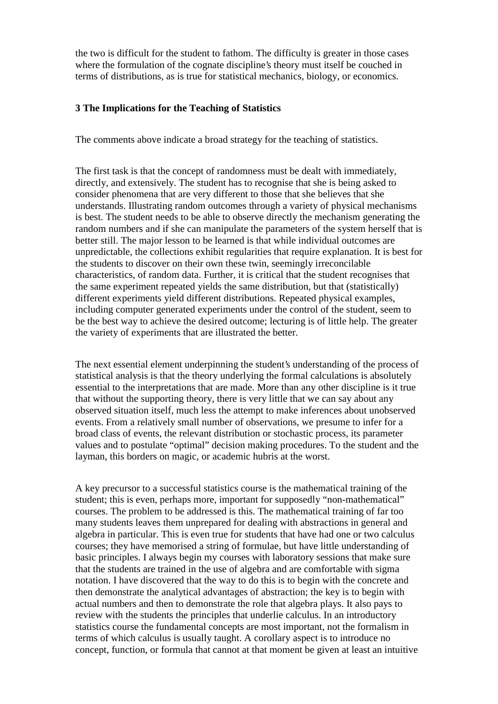the two is difficult for the student to fathom. The difficulty is greater in those cases where the formulation of the cognate discipline's theory must itself be couched in terms of distributions, as is true for statistical mechanics, biology, or economics.

### **3 The Implications for the Teaching of Statistics**

The comments above indicate a broad strategy for the teaching of statistics.

The first task is that the concept of randomness must be dealt with immediately, directly, and extensively. The student has to recognise that she is being asked to consider phenomena that are very different to those that she believes that she understands. Illustrating random outcomes through a variety of physical mechanisms is best. The student needs to be able to observe directly the mechanism generating the random numbers and if she can manipulate the parameters of the system herself that is better still. The major lesson to be learned is that while individual outcomes are unpredictable, the collections exhibit regularities that require explanation. It is best for the students to discover on their own these twin, seemingly irreconcilable characteristics, of random data. Further, it is critical that the student recognises that the same experiment repeated yields the same distribution, but that (statistically) different experiments yield different distributions. Repeated physical examples, including computer generated experiments under the control of the student, seem to be the best way to achieve the desired outcome; lecturing is of little help. The greater the variety of experiments that are illustrated the better.

The next essential element underpinning the student's understanding of the process of statistical analysis is that the theory underlying the formal calculations is absolutely essential to the interpretations that are made. More than any other discipline is it true that without the supporting theory, there is very little that we can say about any observed situation itself, much less the attempt to make inferences about unobserved events. From a relatively small number of observations, we presume to infer for a broad class of events, the relevant distribution or stochastic process, its parameter values and to postulate "optimal" decision making procedures. To the student and the layman, this borders on magic, or academic hubris at the worst.

A key precursor to a successful statistics course is the mathematical training of the student; this is even, perhaps more, important for supposedly "non-mathematical" courses. The problem to be addressed is this. The mathematical training of far too many students leaves them unprepared for dealing with abstractions in general and algebra in particular. This is even true for students that have had one or two calculus courses; they have memorised a string of formulae, but have little understanding of basic principles. I always begin my courses with laboratory sessions that make sure that the students are trained in the use of algebra and are comfortable with sigma notation. I have discovered that the way to do this is to begin with the concrete and then demonstrate the analytical advantages of abstraction; the key is to begin with actual numbers and then to demonstrate the role that algebra plays. It also pays to review with the students the principles that underlie calculus. In an introductory statistics course the fundamental concepts are most important, not the formalism in terms of which calculus is usually taught. A corollary aspect is to introduce no concept, function, or formula that cannot at that moment be given at least an intuitive